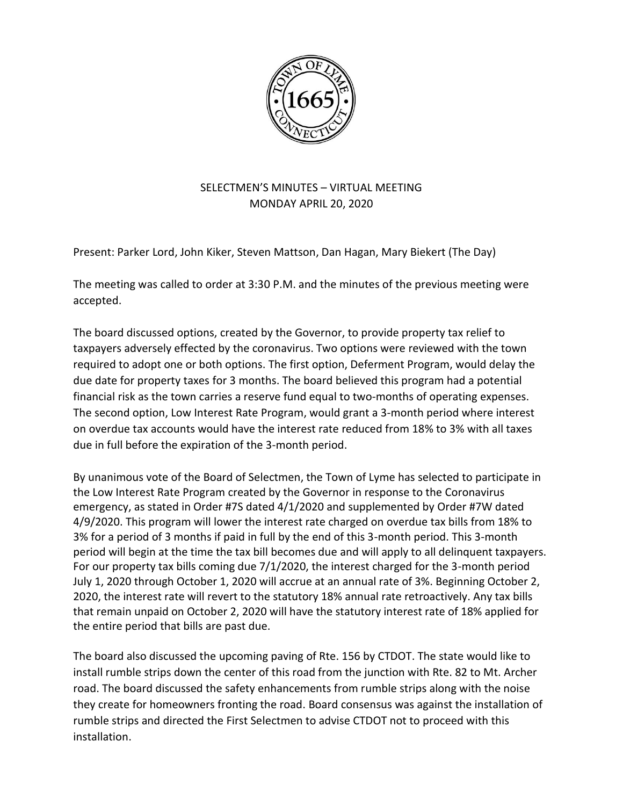

## SELECTMEN'S MINUTES – VIRTUAL MEETING MONDAY APRIL 20, 2020

Present: Parker Lord, John Kiker, Steven Mattson, Dan Hagan, Mary Biekert (The Day)

The meeting was called to order at 3:30 P.M. and the minutes of the previous meeting were accepted.

The board discussed options, created by the Governor, to provide property tax relief to taxpayers adversely effected by the coronavirus. Two options were reviewed with the town required to adopt one or both options. The first option, Deferment Program, would delay the due date for property taxes for 3 months. The board believed this program had a potential financial risk as the town carries a reserve fund equal to two-months of operating expenses. The second option, Low Interest Rate Program, would grant a 3-month period where interest on overdue tax accounts would have the interest rate reduced from 18% to 3% with all taxes due in full before the expiration of the 3-month period.

By unanimous vote of the Board of Selectmen, the Town of Lyme has selected to participate in the Low Interest Rate Program created by the Governor in response to the Coronavirus emergency, as stated in Order #7S dated 4/1/2020 and supplemented by Order #7W dated 4/9/2020. This program will lower the interest rate charged on overdue tax bills from 18% to 3% for a period of 3 months if paid in full by the end of this 3-month period. This 3-month period will begin at the time the tax bill becomes due and will apply to all delinquent taxpayers. For our property tax bills coming due 7/1/2020, the interest charged for the 3-month period July 1, 2020 through October 1, 2020 will accrue at an annual rate of 3%. Beginning October 2, 2020, the interest rate will revert to the statutory 18% annual rate retroactively. Any tax bills that remain unpaid on October 2, 2020 will have the statutory interest rate of 18% applied for the entire period that bills are past due.

The board also discussed the upcoming paving of Rte. 156 by CTDOT. The state would like to install rumble strips down the center of this road from the junction with Rte. 82 to Mt. Archer road. The board discussed the safety enhancements from rumble strips along with the noise they create for homeowners fronting the road. Board consensus was against the installation of rumble strips and directed the First Selectmen to advise CTDOT not to proceed with this installation.